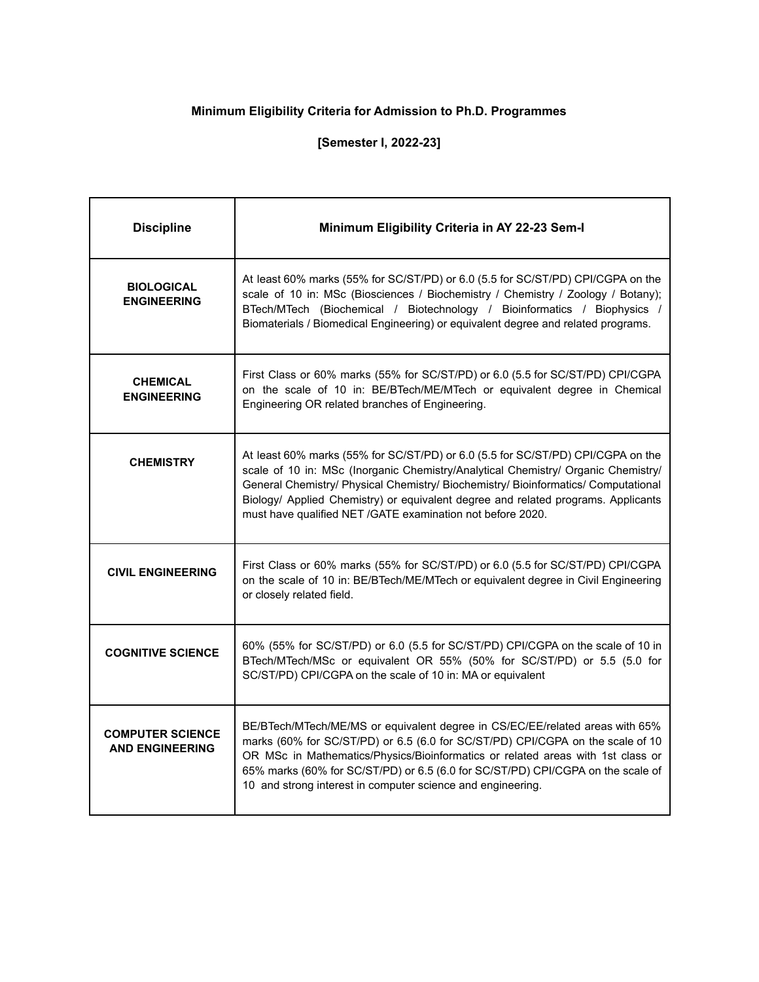## **Minimum Eligibility Criteria for Admission to Ph.D. Programmes**

## **[Semester I, 2022-23]**

| <b>Discipline</b>                                 | Minimum Eligibility Criteria in AY 22-23 Sem-I                                                                                                                                                                                                                                                                                                                                                                |
|---------------------------------------------------|---------------------------------------------------------------------------------------------------------------------------------------------------------------------------------------------------------------------------------------------------------------------------------------------------------------------------------------------------------------------------------------------------------------|
| <b>BIOLOGICAL</b><br><b>ENGINEERING</b>           | At least 60% marks (55% for SC/ST/PD) or 6.0 (5.5 for SC/ST/PD) CPI/CGPA on the<br>scale of 10 in: MSc (Biosciences / Biochemistry / Chemistry / Zoology / Botany);<br>BTech/MTech (Biochemical / Biotechnology / Bioinformatics / Biophysics /<br>Biomaterials / Biomedical Engineering) or equivalent degree and related programs.                                                                          |
| <b>CHEMICAL</b><br><b>ENGINEERING</b>             | First Class or 60% marks (55% for SC/ST/PD) or 6.0 (5.5 for SC/ST/PD) CPI/CGPA<br>on the scale of 10 in: BE/BTech/ME/MTech or equivalent degree in Chemical<br>Engineering OR related branches of Engineering.                                                                                                                                                                                                |
| <b>CHEMISTRY</b>                                  | At least 60% marks (55% for SC/ST/PD) or 6.0 (5.5 for SC/ST/PD) CPI/CGPA on the<br>scale of 10 in: MSc (Inorganic Chemistry/Analytical Chemistry/ Organic Chemistry/<br>General Chemistry/ Physical Chemistry/ Biochemistry/ Bioinformatics/ Computational<br>Biology/ Applied Chemistry) or equivalent degree and related programs. Applicants<br>must have qualified NET /GATE examination not before 2020. |
| <b>CIVIL ENGINEERING</b>                          | First Class or 60% marks (55% for SC/ST/PD) or 6.0 (5.5 for SC/ST/PD) CPI/CGPA<br>on the scale of 10 in: BE/BTech/ME/MTech or equivalent degree in Civil Engineering<br>or closely related field.                                                                                                                                                                                                             |
| <b>COGNITIVE SCIENCE</b>                          | 60% (55% for SC/ST/PD) or 6.0 (5.5 for SC/ST/PD) CPI/CGPA on the scale of 10 in<br>BTech/MTech/MSc or equivalent OR 55% (50% for SC/ST/PD) or 5.5 (5.0 for<br>SC/ST/PD) CPI/CGPA on the scale of 10 in: MA or equivalent                                                                                                                                                                                      |
| <b>COMPUTER SCIENCE</b><br><b>AND ENGINEERING</b> | BE/BTech/MTech/ME/MS or equivalent degree in CS/EC/EE/related areas with 65%<br>marks (60% for SC/ST/PD) or 6.5 (6.0 for SC/ST/PD) CPI/CGPA on the scale of 10<br>OR MSc in Mathematics/Physics/Bioinformatics or related areas with 1st class or<br>65% marks (60% for SC/ST/PD) or 6.5 (6.0 for SC/ST/PD) CPI/CGPA on the scale of<br>10 and strong interest in computer science and engineering.           |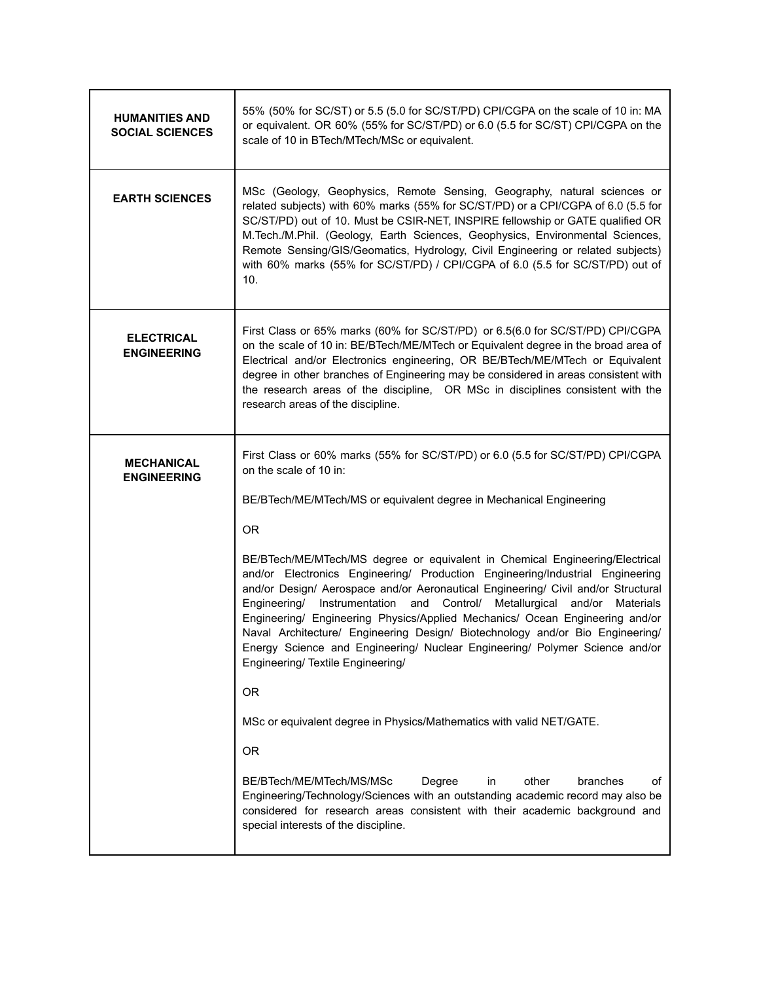| <b>HUMANITIES AND</b><br><b>SOCIAL SCIENCES</b> | 55% (50% for SC/ST) or 5.5 (5.0 for SC/ST/PD) CPI/CGPA on the scale of 10 in: MA<br>or equivalent. OR 60% (55% for SC/ST/PD) or 6.0 (5.5 for SC/ST) CPI/CGPA on the<br>scale of 10 in BTech/MTech/MSc or equivalent.                                                                                                                                                                                                                                                                                                                                                                                                                                                                                                                                                                                                                                                                                                                                                                                                                                                                                                                                                                                         |
|-------------------------------------------------|--------------------------------------------------------------------------------------------------------------------------------------------------------------------------------------------------------------------------------------------------------------------------------------------------------------------------------------------------------------------------------------------------------------------------------------------------------------------------------------------------------------------------------------------------------------------------------------------------------------------------------------------------------------------------------------------------------------------------------------------------------------------------------------------------------------------------------------------------------------------------------------------------------------------------------------------------------------------------------------------------------------------------------------------------------------------------------------------------------------------------------------------------------------------------------------------------------------|
| <b>EARTH SCIENCES</b>                           | MSc (Geology, Geophysics, Remote Sensing, Geography, natural sciences or<br>related subjects) with 60% marks (55% for SC/ST/PD) or a CPI/CGPA of 6.0 (5.5 for<br>SC/ST/PD) out of 10. Must be CSIR-NET, INSPIRE fellowship or GATE qualified OR<br>M.Tech./M.Phil. (Geology, Earth Sciences, Geophysics, Environmental Sciences,<br>Remote Sensing/GIS/Geomatics, Hydrology, Civil Engineering or related subjects)<br>with 60% marks (55% for SC/ST/PD) / CPI/CGPA of 6.0 (5.5 for SC/ST/PD) out of<br>10.                                                                                                                                                                                                                                                                                                                                                                                                                                                                                                                                                                                                                                                                                                  |
| <b>ELECTRICAL</b><br><b>ENGINEERING</b>         | First Class or 65% marks (60% for SC/ST/PD) or 6.5(6.0 for SC/ST/PD) CPI/CGPA<br>on the scale of 10 in: BE/BTech/ME/MTech or Equivalent degree in the broad area of<br>Electrical and/or Electronics engineering, OR BE/BTech/ME/MTech or Equivalent<br>degree in other branches of Engineering may be considered in areas consistent with<br>the research areas of the discipline, OR MSc in disciplines consistent with the<br>research areas of the discipline.                                                                                                                                                                                                                                                                                                                                                                                                                                                                                                                                                                                                                                                                                                                                           |
| <b>MECHANICAL</b><br><b>ENGINEERING</b>         | First Class or 60% marks (55% for SC/ST/PD) or 6.0 (5.5 for SC/ST/PD) CPI/CGPA<br>on the scale of 10 in:<br>BE/BTech/ME/MTech/MS or equivalent degree in Mechanical Engineering<br><b>OR</b><br>BE/BTech/ME/MTech/MS degree or equivalent in Chemical Engineering/Electrical<br>and/or Electronics Engineering/ Production Engineering/Industrial Engineering<br>and/or Design/ Aerospace and/or Aeronautical Engineering/ Civil and/or Structural<br>Instrumentation and Control/ Metallurgical and/or<br>Engineering/<br>Materials<br>Engineering/ Engineering Physics/Applied Mechanics/ Ocean Engineering and/or<br>Naval Architecture/ Engineering Design/ Biotechnology and/or Bio Engineering/<br>Energy Science and Engineering/ Nuclear Engineering/ Polymer Science and/or<br>Engineering/ Textile Engineering/<br><b>OR</b><br>MSc or equivalent degree in Physics/Mathematics with valid NET/GATE.<br><b>OR</b><br>BE/BTech/ME/MTech/MS/MSc<br>other<br>Degree<br>in<br>branches<br>of<br>Engineering/Technology/Sciences with an outstanding academic record may also be<br>considered for research areas consistent with their academic background and<br>special interests of the discipline. |